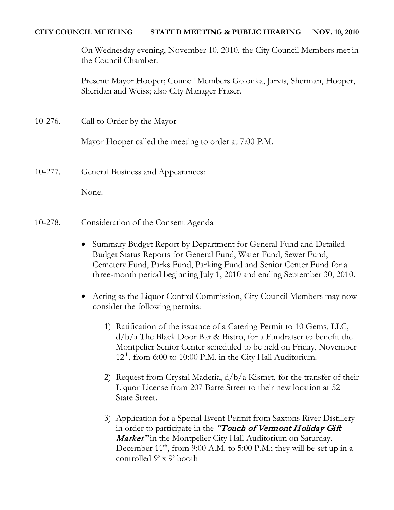## **CITY COUNCIL MEETING STATED MEETING & PUBLIC HEARING NOV. 10, 2010**

On Wednesday evening, November 10, 2010, the City Council Members met in the Council Chamber.

Present: Mayor Hooper; Council Members Golonka, Jarvis, Sherman, Hooper, Sheridan and Weiss; also City Manager Fraser.

10-276. Call to Order by the Mayor

Mayor Hooper called the meeting to order at 7:00 P.M.

10-277. General Business and Appearances:

None.

- 10-278. Consideration of the Consent Agenda
	- Summary Budget Report by Department for General Fund and Detailed Budget Status Reports for General Fund, Water Fund, Sewer Fund, Cemetery Fund, Parks Fund, Parking Fund and Senior Center Fund for a three-month period beginning July 1, 2010 and ending September 30, 2010.
	- Acting as the Liquor Control Commission, City Council Members may now consider the following permits:
		- 1) Ratification of the issuance of a Catering Permit to 10 Gems, LLC, d/b/a The Black Door Bar & Bistro, for a Fundraiser to benefit the Montpelier Senior Center scheduled to be held on Friday, November  $12<sup>th</sup>$ , from 6:00 to 10:00 P.M. in the City Hall Auditorium.
		- 2) Request from Crystal Maderia, d/b/a Kismet, for the transfer of their Liquor License from 207 Barre Street to their new location at 52 State Street.
		- 3) Application for a Special Event Permit from Saxtons River Distillery in order to participate in the "Touch of Vermont Holiday Gift" Market" in the Montpelier City Hall Auditorium on Saturday, December  $11<sup>th</sup>$ , from 9:00 A.M. to 5:00 P.M.; they will be set up in a controlled 9' x 9' booth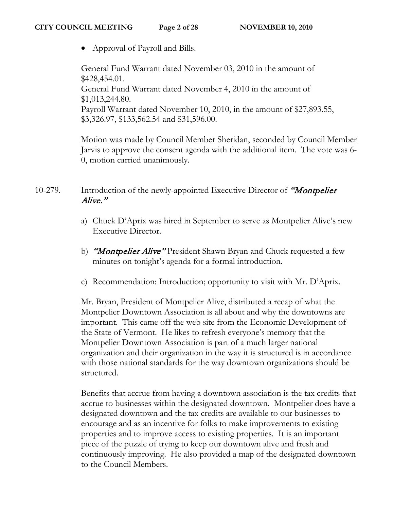• Approval of Payroll and Bills.

General Fund Warrant dated November 03, 2010 in the amount of \$428,454.01. General Fund Warrant dated November 4, 2010 in the amount of \$1,013,244.80. Payroll Warrant dated November 10, 2010, in the amount of \$27,893.55, \$3,326.97, \$133,562.54 and \$31,596.00.

Motion was made by Council Member Sheridan, seconded by Council Member Jarvis to approve the consent agenda with the additional item. The vote was 6- 0, motion carried unanimously.

# 10-279. Introduction of the newly-appointed Executive Director of *"Montpelier*" Alive."

- a) Chuck D'Aprix was hired in September to serve as Montpelier Alive's new Executive Director.
- b) **"Montpelier Alive"** President Shawn Bryan and Chuck requested a few minutes on tonight's agenda for a formal introduction.
- c) Recommendation: Introduction; opportunity to visit with Mr. D'Aprix.

Mr. Bryan, President of Montpelier Alive, distributed a recap of what the Montpelier Downtown Association is all about and why the downtowns are important. This came off the web site from the Economic Development of the State of Vermont. He likes to refresh everyone's memory that the Montpelier Downtown Association is part of a much larger national organization and their organization in the way it is structured is in accordance with those national standards for the way downtown organizations should be structured.

Benefits that accrue from having a downtown association is the tax credits that accrue to businesses within the designated downtown. Montpelier does have a designated downtown and the tax credits are available to our businesses to encourage and as an incentive for folks to make improvements to existing properties and to improve access to existing properties. It is an important piece of the puzzle of trying to keep our downtown alive and fresh and continuously improving. He also provided a map of the designated downtown to the Council Members.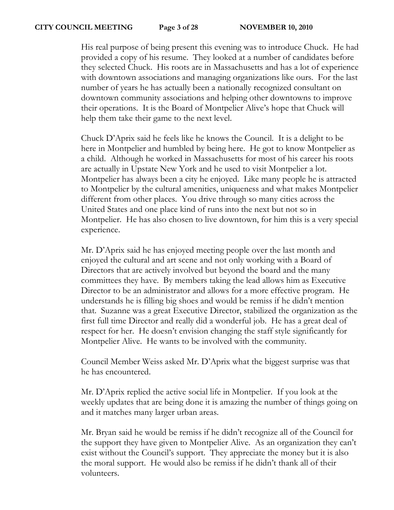His real purpose of being present this evening was to introduce Chuck. He had provided a copy of his resume. They looked at a number of candidates before they selected Chuck. His roots are in Massachusetts and has a lot of experience with downtown associations and managing organizations like ours. For the last number of years he has actually been a nationally recognized consultant on downtown community associations and helping other downtowns to improve their operations. It is the Board of Montpelier Alive's hope that Chuck will help them take their game to the next level.

Chuck D'Aprix said he feels like he knows the Council. It is a delight to be here in Montpelier and humbled by being here. He got to know Montpelier as a child. Although he worked in Massachusetts for most of his career his roots are actually in Upstate New York and he used to visit Montpelier a lot. Montpelier has always been a city he enjoyed. Like many people he is attracted to Montpelier by the cultural amenities, uniqueness and what makes Montpelier different from other places. You drive through so many cities across the United States and one place kind of runs into the next but not so in Montpelier. He has also chosen to live downtown, for him this is a very special experience.

Mr. D'Aprix said he has enjoyed meeting people over the last month and enjoyed the cultural and art scene and not only working with a Board of Directors that are actively involved but beyond the board and the many committees they have. By members taking the lead allows him as Executive Director to be an administrator and allows for a more effective program. He understands he is filling big shoes and would be remiss if he didn't mention that. Suzanne was a great Executive Director, stabilized the organization as the first full time Director and really did a wonderful job. He has a great deal of respect for her. He doesn't envision changing the staff style significantly for Montpelier Alive. He wants to be involved with the community.

Council Member Weiss asked Mr. D'Aprix what the biggest surprise was that he has encountered.

Mr. D'Aprix replied the active social life in Montpelier. If you look at the weekly updates that are being done it is amazing the number of things going on and it matches many larger urban areas.

Mr. Bryan said he would be remiss if he didn't recognize all of the Council for the support they have given to Montpelier Alive. As an organization they can't exist without the Council's support. They appreciate the money but it is also the moral support. He would also be remiss if he didn't thank all of their volunteers.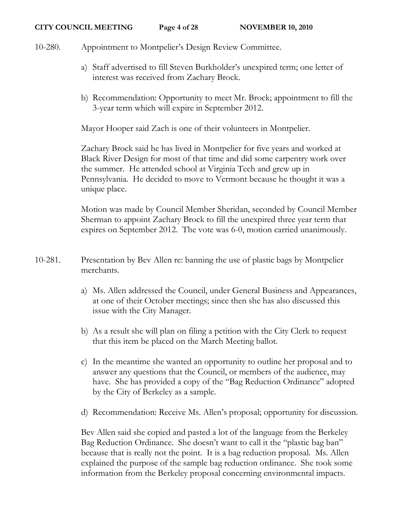- 10-280. Appointment to Montpelier's Design Review Committee.
	- a) Staff advertised to fill Steven Burkholder's unexpired term; one letter of interest was received from Zachary Brock.
	- b) Recommendation: Opportunity to meet Mr. Brock; appointment to fill the 3-year term which will expire in September 2012.

Mayor Hooper said Zach is one of their volunteers in Montpelier.

Zachary Brock said he has lived in Montpelier for five years and worked at Black River Design for most of that time and did some carpentry work over the summer. He attended school at Virginia Tech and grew up in Pennsylvania. He decided to move to Vermont because he thought it was a unique place.

Motion was made by Council Member Sheridan, seconded by Council Member Sherman to appoint Zachary Brock to fill the unexpired three year term that expires on September 2012. The vote was 6-0, motion carried unanimously.

- 10-281. Presentation by Bev Allen re: banning the use of plastic bags by Montpelier merchants.
	- a) Ms. Allen addressed the Council, under General Business and Appearances, at one of their October meetings; since then she has also discussed this issue with the City Manager.
	- b) As a result she will plan on filing a petition with the City Clerk to request that this item be placed on the March Meeting ballot.
	- c) In the meantime she wanted an opportunity to outline her proposal and to answer any questions that the Council, or members of the audience, may have. She has provided a copy of the "Bag Reduction Ordinance" adopted by the City of Berkeley as a sample.
	- d) Recommendation: Receive Ms. Allen's proposal; opportunity for discussion.

Bev Allen said she copied and pasted a lot of the language from the Berkeley Bag Reduction Ordinance. She doesn't want to call it the "plastic bag ban" because that is really not the point. It is a bag reduction proposal. Ms. Allen explained the purpose of the sample bag reduction ordinance. She took some information from the Berkeley proposal concerning environmental impacts.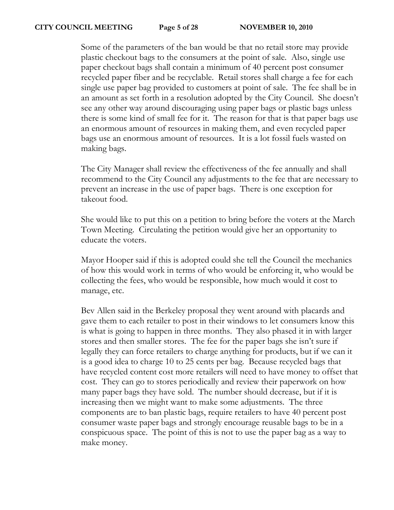Some of the parameters of the ban would be that no retail store may provide plastic checkout bags to the consumers at the point of sale. Also, single use paper checkout bags shall contain a minimum of 40 percent post consumer recycled paper fiber and be recyclable. Retail stores shall charge a fee for each single use paper bag provided to customers at point of sale. The fee shall be in an amount as set forth in a resolution adopted by the City Council. She doesn't see any other way around discouraging using paper bags or plastic bags unless there is some kind of small fee for it. The reason for that is that paper bags use an enormous amount of resources in making them, and even recycled paper bags use an enormous amount of resources. It is a lot fossil fuels wasted on making bags.

The City Manager shall review the effectiveness of the fee annually and shall recommend to the City Council any adjustments to the fee that are necessary to prevent an increase in the use of paper bags. There is one exception for takeout food.

She would like to put this on a petition to bring before the voters at the March Town Meeting. Circulating the petition would give her an opportunity to educate the voters.

Mayor Hooper said if this is adopted could she tell the Council the mechanics of how this would work in terms of who would be enforcing it, who would be collecting the fees, who would be responsible, how much would it cost to manage, etc.

Bev Allen said in the Berkeley proposal they went around with placards and gave them to each retailer to post in their windows to let consumers know this is what is going to happen in three months. They also phased it in with larger stores and then smaller stores. The fee for the paper bags she isn't sure if legally they can force retailers to charge anything for products, but if we can it is a good idea to charge 10 to 25 cents per bag. Because recycled bags that have recycled content cost more retailers will need to have money to offset that cost. They can go to stores periodically and review their paperwork on how many paper bags they have sold. The number should decrease, but if it is increasing then we might want to make some adjustments. The three components are to ban plastic bags, require retailers to have 40 percent post consumer waste paper bags and strongly encourage reusable bags to be in a conspicuous space. The point of this is not to use the paper bag as a way to make money.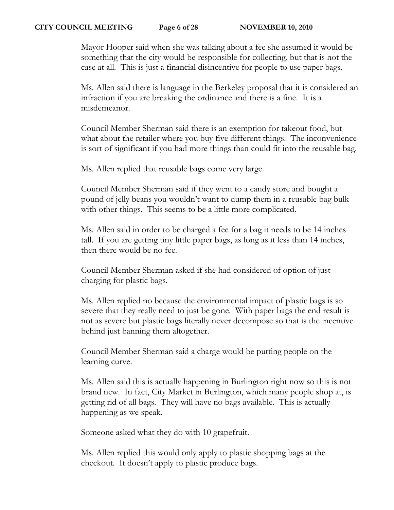#### **CITY COUNCIL MEETING Page 6 of 28 NOVEMBER 10, 2010**

Mayor Hooper said when she was talking about a fee she assumed it would be something that the city would be responsible for collecting, but that is not the case at all. This is just a financial disincentive for people to use paper bags.

Ms. Allen said there is language in the Berkeley proposal that it is considered an infraction if you are breaking the ordinance and there is a fine. It is a misdemeanor.

Council Member Sherman said there is an exemption for takeout food, but what about the retailer where you buy five different things. The inconvenience is sort of significant if you had more things than could fit into the reusable bag.

Ms. Allen replied that reusable bags come very large.

Council Member Sherman said if they went to a candy store and bought a pound of jelly beans you wouldn't want to dump them in a reusable bag bulk with other things. This seems to be a little more complicated.

Ms. Allen said in order to be charged a fee for a bag it needs to be 14 inches tall. If you are getting tiny little paper bags, as long as it less than 14 inches, then there would be no fee.

Council Member Sherman asked if she had considered of option of just charging for plastic bags.

Ms. Allen replied no because the environmental impact of plastic bags is so severe that they really need to just be gone. With paper bags the end result is not as severe but plastic bags literally never decompose so that is the incentive behind just banning them altogether.

Council Member Sherman said a charge would be putting people on the learning curve.

Ms. Allen said this is actually happening in Burlington right now so this is not brand new. In fact, City Market in Burlington, which many people shop at, is getting rid of all bags. They will have no bags available. This is actually happening as we speak.

Someone asked what they do with 10 grapefruit.

Ms. Allen replied this would only apply to plastic shopping bags at the checkout. It doesn't apply to plastic produce bags.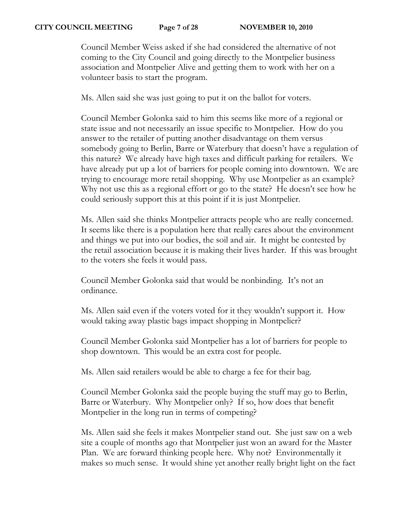Council Member Weiss asked if she had considered the alternative of not coming to the City Council and going directly to the Montpelier business association and Montpelier Alive and getting them to work with her on a volunteer basis to start the program.

Ms. Allen said she was just going to put it on the ballot for voters.

Council Member Golonka said to him this seems like more of a regional or state issue and not necessarily an issue specific to Montpelier. How do you answer to the retailer of putting another disadvantage on them versus somebody going to Berlin, Barre or Waterbury that doesn't have a regulation of this nature? We already have high taxes and difficult parking for retailers. We have already put up a lot of barriers for people coming into downtown. We are trying to encourage more retail shopping. Why use Montpelier as an example? Why not use this as a regional effort or go to the state? He doesn't see how he could seriously support this at this point if it is just Montpelier.

Ms. Allen said she thinks Montpelier attracts people who are really concerned. It seems like there is a population here that really cares about the environment and things we put into our bodies, the soil and air. It might be contested by the retail association because it is making their lives harder. If this was brought to the voters she feels it would pass.

Council Member Golonka said that would be nonbinding. It's not an ordinance.

Ms. Allen said even if the voters voted for it they wouldn't support it. How would taking away plastic bags impact shopping in Montpelier?

Council Member Golonka said Montpelier has a lot of barriers for people to shop downtown. This would be an extra cost for people.

Ms. Allen said retailers would be able to charge a fee for their bag.

Council Member Golonka said the people buying the stuff may go to Berlin, Barre or Waterbury. Why Montpelier only? If so, how does that benefit Montpelier in the long run in terms of competing?

Ms. Allen said she feels it makes Montpelier stand out. She just saw on a web site a couple of months ago that Montpelier just won an award for the Master Plan. We are forward thinking people here. Why not? Environmentally it makes so much sense. It would shine yet another really bright light on the fact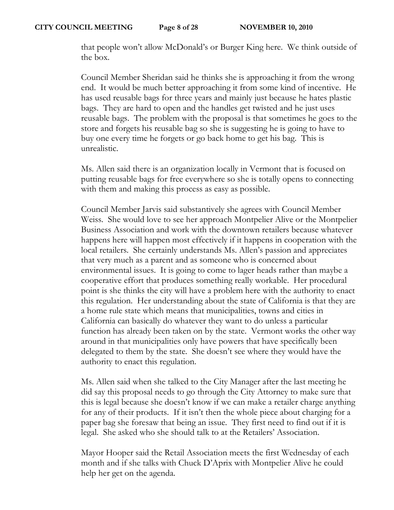that people won't allow McDonald's or Burger King here. We think outside of the box.

Council Member Sheridan said he thinks she is approaching it from the wrong end. It would be much better approaching it from some kind of incentive. He has used reusable bags for three years and mainly just because he hates plastic bags. They are hard to open and the handles get twisted and he just uses reusable bags. The problem with the proposal is that sometimes he goes to the store and forgets his reusable bag so she is suggesting he is going to have to buy one every time he forgets or go back home to get his bag. This is unrealistic.

Ms. Allen said there is an organization locally in Vermont that is focused on putting reusable bags for free everywhere so she is totally opens to connecting with them and making this process as easy as possible.

Council Member Jarvis said substantively she agrees with Council Member Weiss. She would love to see her approach Montpelier Alive or the Montpelier Business Association and work with the downtown retailers because whatever happens here will happen most effectively if it happens in cooperation with the local retailers. She certainly understands Ms. Allen's passion and appreciates that very much as a parent and as someone who is concerned about environmental issues. It is going to come to lager heads rather than maybe a cooperative effort that produces something really workable. Her procedural point is she thinks the city will have a problem here with the authority to enact this regulation. Her understanding about the state of California is that they are a home rule state which means that municipalities, towns and cities in California can basically do whatever they want to do unless a particular function has already been taken on by the state. Vermont works the other way around in that municipalities only have powers that have specifically been delegated to them by the state. She doesn't see where they would have the authority to enact this regulation.

Ms. Allen said when she talked to the City Manager after the last meeting he did say this proposal needs to go through the City Attorney to make sure that this is legal because she doesn't know if we can make a retailer charge anything for any of their products. If it isn't then the whole piece about charging for a paper bag she foresaw that being an issue. They first need to find out if it is legal. She asked who she should talk to at the Retailers' Association.

Mayor Hooper said the Retail Association meets the first Wednesday of each month and if she talks with Chuck D'Aprix with Montpelier Alive he could help her get on the agenda.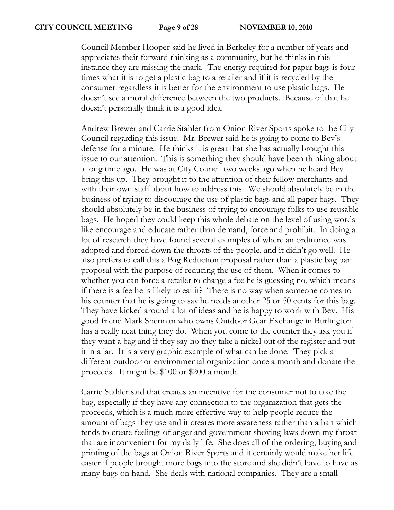Council Member Hooper said he lived in Berkeley for a number of years and appreciates their forward thinking as a community, but he thinks in this instance they are missing the mark. The energy required for paper bags is four times what it is to get a plastic bag to a retailer and if it is recycled by the consumer regardless it is better for the environment to use plastic bags. He doesn't see a moral difference between the two products. Because of that he doesn't personally think it is a good idea.

Andrew Brewer and Carrie Stahler from Onion River Sports spoke to the City Council regarding this issue. Mr. Brewer said he is going to come to Bev's defense for a minute. He thinks it is great that she has actually brought this issue to our attention. This is something they should have been thinking about a long time ago. He was at City Council two weeks ago when he heard Bev bring this up. They brought it to the attention of their fellow merchants and with their own staff about how to address this. We should absolutely be in the business of trying to discourage the use of plastic bags and all paper bags. They should absolutely be in the business of trying to encourage folks to use reusable bags. He hoped they could keep this whole debate on the level of using words like encourage and educate rather than demand, force and prohibit. In doing a lot of research they have found several examples of where an ordinance was adopted and forced down the throats of the people, and it didn't go well. He also prefers to call this a Bag Reduction proposal rather than a plastic bag ban proposal with the purpose of reducing the use of them. When it comes to whether you can force a retailer to charge a fee he is guessing no, which means if there is a fee he is likely to eat it? There is no way when someone comes to his counter that he is going to say he needs another 25 or 50 cents for this bag. They have kicked around a lot of ideas and he is happy to work with Bev. His good friend Mark Sherman who owns Outdoor Gear Exchange in Burlington has a really neat thing they do. When you come to the counter they ask you if they want a bag and if they say no they take a nickel out of the register and put it in a jar. It is a very graphic example of what can be done. They pick a different outdoor or environmental organization once a month and donate the proceeds. It might be \$100 or \$200 a month.

Carrie Stahler said that creates an incentive for the consumer not to take the bag, especially if they have any connection to the organization that gets the proceeds, which is a much more effective way to help people reduce the amount of bags they use and it creates more awareness rather than a ban which tends to create feelings of anger and government shoving laws down my throat that are inconvenient for my daily life. She does all of the ordering, buying and printing of the bags at Onion River Sports and it certainly would make her life easier if people brought more bags into the store and she didn't have to have as many bags on hand. She deals with national companies. They are a small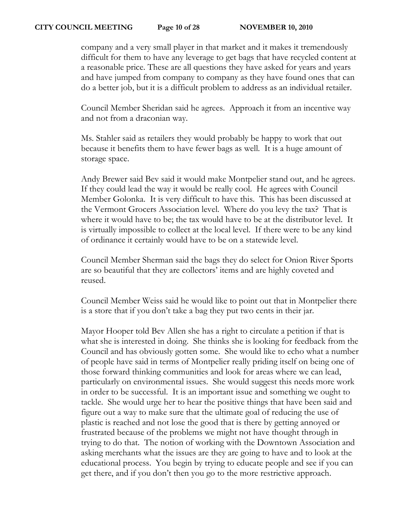company and a very small player in that market and it makes it tremendously difficult for them to have any leverage to get bags that have recycled content at a reasonable price. These are all questions they have asked for years and years and have jumped from company to company as they have found ones that can do a better job, but it is a difficult problem to address as an individual retailer.

Council Member Sheridan said he agrees. Approach it from an incentive way and not from a draconian way.

Ms. Stahler said as retailers they would probably be happy to work that out because it benefits them to have fewer bags as well. It is a huge amount of storage space.

Andy Brewer said Bev said it would make Montpelier stand out, and he agrees. If they could lead the way it would be really cool. He agrees with Council Member Golonka. It is very difficult to have this. This has been discussed at the Vermont Grocers Association level. Where do you levy the tax? That is where it would have to be; the tax would have to be at the distributor level. It is virtually impossible to collect at the local level. If there were to be any kind of ordinance it certainly would have to be on a statewide level.

Council Member Sherman said the bags they do select for Onion River Sports are so beautiful that they are collectors' items and are highly coveted and reused.

Council Member Weiss said he would like to point out that in Montpelier there is a store that if you don't take a bag they put two cents in their jar.

Mayor Hooper told Bev Allen she has a right to circulate a petition if that is what she is interested in doing. She thinks she is looking for feedback from the Council and has obviously gotten some. She would like to echo what a number of people have said in terms of Montpelier really priding itself on being one of those forward thinking communities and look for areas where we can lead, particularly on environmental issues. She would suggest this needs more work in order to be successful. It is an important issue and something we ought to tackle. She would urge her to hear the positive things that have been said and figure out a way to make sure that the ultimate goal of reducing the use of plastic is reached and not lose the good that is there by getting annoyed or frustrated because of the problems we might not have thought through in trying to do that. The notion of working with the Downtown Association and asking merchants what the issues are they are going to have and to look at the educational process. You begin by trying to educate people and see if you can get there, and if you don't then you go to the more restrictive approach.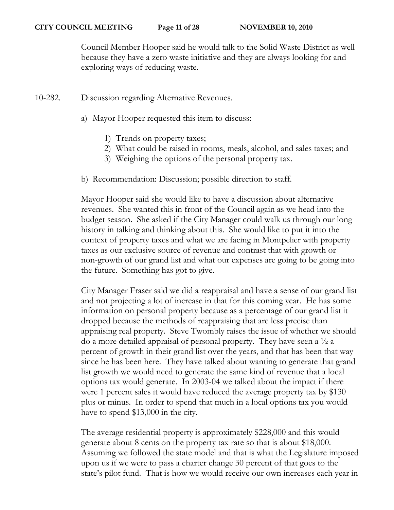Council Member Hooper said he would talk to the Solid Waste District as well because they have a zero waste initiative and they are always looking for and exploring ways of reducing waste.

- 10-282. Discussion regarding Alternative Revenues.
	- a) Mayor Hooper requested this item to discuss:
		- 1) Trends on property taxes;
		- 2) What could be raised in rooms, meals, alcohol, and sales taxes; and
		- 3) Weighing the options of the personal property tax.
	- b) Recommendation: Discussion; possible direction to staff.

Mayor Hooper said she would like to have a discussion about alternative revenues. She wanted this in front of the Council again as we head into the budget season. She asked if the City Manager could walk us through our long history in talking and thinking about this. She would like to put it into the context of property taxes and what we are facing in Montpelier with property taxes as our exclusive source of revenue and contrast that with growth or non-growth of our grand list and what our expenses are going to be going into the future. Something has got to give.

City Manager Fraser said we did a reappraisal and have a sense of our grand list and not projecting a lot of increase in that for this coming year. He has some information on personal property because as a percentage of our grand list it dropped because the methods of reappraising that are less precise than appraising real property. Steve Twombly raises the issue of whether we should do a more detailed appraisal of personal property. They have seen a ½ a percent of growth in their grand list over the years, and that has been that way since he has been here. They have talked about wanting to generate that grand list growth we would need to generate the same kind of revenue that a local options tax would generate. In 2003-04 we talked about the impact if there were 1 percent sales it would have reduced the average property tax by \$130 plus or minus. In order to spend that much in a local options tax you would have to spend \$13,000 in the city.

The average residential property is approximately \$228,000 and this would generate about 8 cents on the property tax rate so that is about \$18,000. Assuming we followed the state model and that is what the Legislature imposed upon us if we were to pass a charter change 30 percent of that goes to the state's pilot fund. That is how we would receive our own increases each year in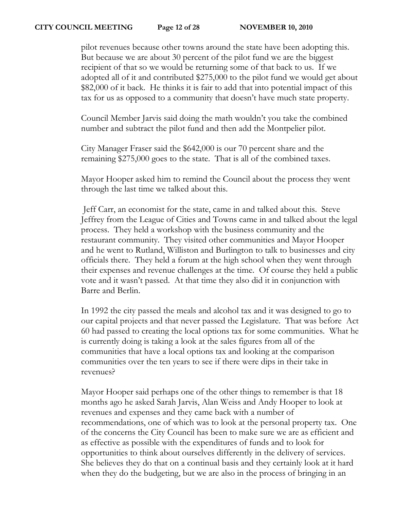pilot revenues because other towns around the state have been adopting this. But because we are about 30 percent of the pilot fund we are the biggest recipient of that so we would be returning some of that back to us. If we adopted all of it and contributed \$275,000 to the pilot fund we would get about \$82,000 of it back. He thinks it is fair to add that into potential impact of this tax for us as opposed to a community that doesn't have much state property.

Council Member Jarvis said doing the math wouldn't you take the combined number and subtract the pilot fund and then add the Montpelier pilot.

City Manager Fraser said the \$642,000 is our 70 percent share and the remaining \$275,000 goes to the state. That is all of the combined taxes.

Mayor Hooper asked him to remind the Council about the process they went through the last time we talked about this.

Jeff Carr, an economist for the state, came in and talked about this. Steve Jeffrey from the League of Cities and Towns came in and talked about the legal process. They held a workshop with the business community and the restaurant community. They visited other communities and Mayor Hooper and he went to Rutland, Williston and Burlington to talk to businesses and city officials there. They held a forum at the high school when they went through their expenses and revenue challenges at the time. Of course they held a public vote and it wasn't passed. At that time they also did it in conjunction with Barre and Berlin.

In 1992 the city passed the meals and alcohol tax and it was designed to go to our capital projects and that never passed the Legislature. That was before Act 60 had passed to creating the local options tax for some communities. What he is currently doing is taking a look at the sales figures from all of the communities that have a local options tax and looking at the comparison communities over the ten years to see if there were dips in their take in revenues?

Mayor Hooper said perhaps one of the other things to remember is that 18 months ago he asked Sarah Jarvis, Alan Weiss and Andy Hooper to look at revenues and expenses and they came back with a number of recommendations, one of which was to look at the personal property tax. One of the concerns the City Council has been to make sure we are as efficient and as effective as possible with the expenditures of funds and to look for opportunities to think about ourselves differently in the delivery of services. She believes they do that on a continual basis and they certainly look at it hard when they do the budgeting, but we are also in the process of bringing in an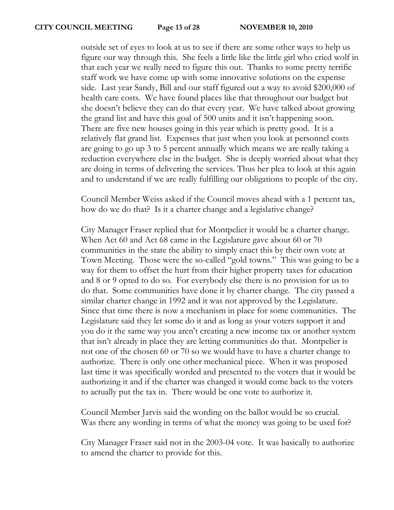outside set of eyes to look at us to see if there are some other ways to help us figure our way through this. She feels a little like the little girl who cried wolf in that each year we really need to figure this out. Thanks to some pretty terrific staff work we have come up with some innovative solutions on the expense side. Last year Sandy, Bill and our staff figured out a way to avoid \$200,000 of health care costs. We have found places like that throughout our budget but she doesn't believe they can do that every year. We have talked about growing the grand list and have this goal of 500 units and it isn't happening soon. There are five new houses going in this year which is pretty good. It is a relatively flat grand list. Expenses that just when you look at personnel costs are going to go up 3 to 5 percent annually which means we are really taking a reduction everywhere else in the budget. She is deeply worried about what they are doing in terms of delivering the services. Thus her plea to look at this again and to understand if we are really fulfilling our obligations to people of the city.

Council Member Weiss asked if the Council moves ahead with a 1 percent tax, how do we do that? Is it a charter change and a legislative change?

City Manager Fraser replied that for Montpelier it would be a charter change. When Act 60 and Act 68 came in the Legislature gave about 60 or 70 communities in the state the ability to simply enact this by their own vote at Town Meeting. Those were the so-called "gold towns." This was going to be a way for them to offset the hurt from their higher property taxes for education and 8 or 9 opted to do so. For everybody else there is no provision for us to do that. Some communities have done it by charter change. The city passed a similar charter change in 1992 and it was not approved by the Legislature. Since that time there is now a mechanism in place for some communities. The Legislature said they let some do it and as long as your voters support it and you do it the same way you aren't creating a new income tax or another system that isn't already in place they are letting communities do that. Montpelier is not one of the chosen 60 or 70 so we would have to have a charter change to authorize. There is only one other mechanical piece. When it was proposed last time it was specifically worded and presented to the voters that it would be authorizing it and if the charter was changed it would come back to the voters to actually put the tax in. There would be one vote to authorize it.

Council Member Jarvis said the wording on the ballot would be so crucial. Was there any wording in terms of what the money was going to be used for?

City Manager Fraser said not in the 2003-04 vote. It was basically to authorize to amend the charter to provide for this.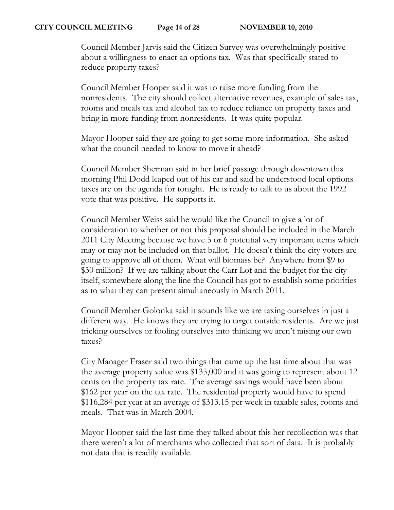Council Member Jarvis said the Citizen Survey was overwhelmingly positive about a willingness to enact an options tax. Was that specifically stated to reduce property taxes?

Council Member Hooper said it was to raise more funding from the nonresidents. The city should collect alternative revenues, example of sales tax, rooms and meals tax and alcohol tax to reduce reliance on property taxes and bring in more funding from nonresidents. It was quite popular.

Mayor Hooper said they are going to get some more information. She asked what the council needed to know to move it ahead?

Council Member Sherman said in her brief passage through downtown this morning Phil Dodd leaped out of his car and said he understood local options taxes are on the agenda for tonight. He is ready to talk to us about the 1992 vote that was positive. He supports it.

Council Member Weiss said he would like the Council to give a lot of consideration to whether or not this proposal should be included in the March 2011 City Meeting because we have 5 or 6 potential very important items which may or may not be included on that ballot. He doesn't think the city voters are going to approve all of them. What will biomass be? Anywhere from \$9 to \$30 million? If we are talking about the Carr Lot and the budget for the city itself, somewhere along the line the Council has got to establish some priorities as to what they can present simultaneously in March 2011.

Council Member Golonka said it sounds like we are taxing ourselves in just a different way. He knows they are trying to target outside residents. Are we just tricking ourselves or fooling ourselves into thinking we aren't raising our own taxes?

City Manager Fraser said two things that came up the last time about that was the average property value was \$135,000 and it was going to represent about 12 cents on the property tax rate. The average savings would have been about \$162 per year on the tax rate. The residential property would have to spend \$116,284 per year at an average of \$313.15 per week in taxable sales, rooms and meals. That was in March 2004.

Mayor Hooper said the last time they talked about this her recollection was that there weren't a lot of merchants who collected that sort of data. It is probably not data that is readily available.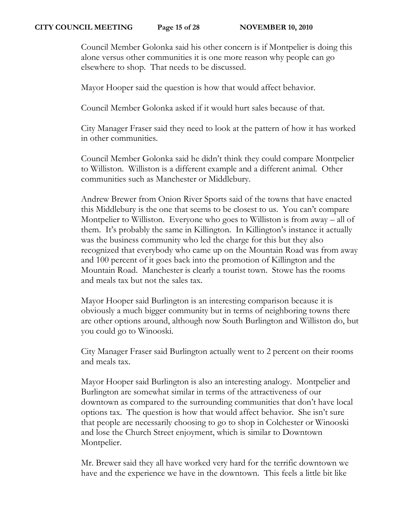Council Member Golonka said his other concern is if Montpelier is doing this alone versus other communities it is one more reason why people can go elsewhere to shop. That needs to be discussed.

Mayor Hooper said the question is how that would affect behavior.

Council Member Golonka asked if it would hurt sales because of that.

City Manager Fraser said they need to look at the pattern of how it has worked in other communities.

Council Member Golonka said he didn't think they could compare Montpelier to Williston. Williston is a different example and a different animal. Other communities such as Manchester or Middlebury.

Andrew Brewer from Onion River Sports said of the towns that have enacted this Middlebury is the one that seems to be closest to us. You can't compare Montpelier to Williston. Everyone who goes to Williston is from away – all of them. It's probably the same in Killington. In Killington's instance it actually was the business community who led the charge for this but they also recognized that everybody who came up on the Mountain Road was from away and 100 percent of it goes back into the promotion of Killington and the Mountain Road. Manchester is clearly a tourist town. Stowe has the rooms and meals tax but not the sales tax.

Mayor Hooper said Burlington is an interesting comparison because it is obviously a much bigger community but in terms of neighboring towns there are other options around, although now South Burlington and Williston do, but you could go to Winooski.

City Manager Fraser said Burlington actually went to 2 percent on their rooms and meals tax.

Mayor Hooper said Burlington is also an interesting analogy. Montpelier and Burlington are somewhat similar in terms of the attractiveness of our downtown as compared to the surrounding communities that don't have local options tax. The question is how that would affect behavior. She isn't sure that people are necessarily choosing to go to shop in Colchester or Winooski and lose the Church Street enjoyment, which is similar to Downtown Montpelier.

Mr. Brewer said they all have worked very hard for the terrific downtown we have and the experience we have in the downtown. This feels a little bit like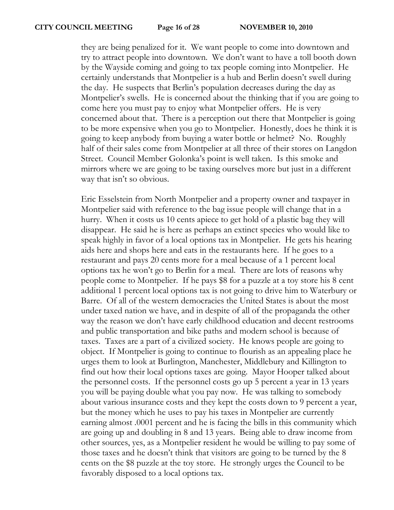they are being penalized for it. We want people to come into downtown and try to attract people into downtown. We don't want to have a toll booth down by the Wayside coming and going to tax people coming into Montpelier. He certainly understands that Montpelier is a hub and Berlin doesn't swell during the day. He suspects that Berlin's population decreases during the day as Montpelier's swells. He is concerned about the thinking that if you are going to come here you must pay to enjoy what Montpelier offers. He is very concerned about that. There is a perception out there that Montpelier is going to be more expensive when you go to Montpelier. Honestly, does he think it is going to keep anybody from buying a water bottle or helmet? No. Roughly half of their sales come from Montpelier at all three of their stores on Langdon Street. Council Member Golonka's point is well taken. Is this smoke and mirrors where we are going to be taxing ourselves more but just in a different way that isn't so obvious.

Eric Esselstein from North Montpelier and a property owner and taxpayer in Montpelier said with reference to the bag issue people will change that in a hurry. When it costs us 10 cents apiece to get hold of a plastic bag they will disappear. He said he is here as perhaps an extinct species who would like to speak highly in favor of a local options tax in Montpelier. He gets his hearing aids here and shops here and eats in the restaurants here. If he goes to a restaurant and pays 20 cents more for a meal because of a 1 percent local options tax he won't go to Berlin for a meal. There are lots of reasons why people come to Montpelier. If he pays \$8 for a puzzle at a toy store his 8 cent additional 1 percent local options tax is not going to drive him to Waterbury or Barre. Of all of the western democracies the United States is about the most under taxed nation we have, and in despite of all of the propaganda the other way the reason we don't have early childhood education and decent restrooms and public transportation and bike paths and modern school is because of taxes. Taxes are a part of a civilized society. He knows people are going to object. If Montpelier is going to continue to flourish as an appealing place he urges them to look at Burlington, Manchester, Middlebury and Killington to find out how their local options taxes are going. Mayor Hooper talked about the personnel costs. If the personnel costs go up 5 percent a year in 13 years you will be paying double what you pay now. He was talking to somebody about various insurance costs and they kept the costs down to 9 percent a year, but the money which he uses to pay his taxes in Montpelier are currently earning almost .0001 percent and he is facing the bills in this community which are going up and doubling in 8 and 13 years. Being able to draw income from other sources, yes, as a Montpelier resident he would be willing to pay some of those taxes and he doesn't think that visitors are going to be turned by the 8 cents on the \$8 puzzle at the toy store. He strongly urges the Council to be favorably disposed to a local options tax.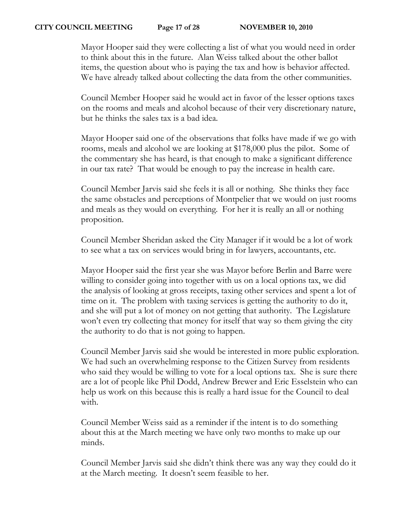## **CITY COUNCIL MEETING Page 17 of 28 NOVEMBER 10, 2010**

Mayor Hooper said they were collecting a list of what you would need in order to think about this in the future. Alan Weiss talked about the other ballot items, the question about who is paying the tax and how is behavior affected. We have already talked about collecting the data from the other communities.

Council Member Hooper said he would act in favor of the lesser options taxes on the rooms and meals and alcohol because of their very discretionary nature, but he thinks the sales tax is a bad idea.

Mayor Hooper said one of the observations that folks have made if we go with rooms, meals and alcohol we are looking at \$178,000 plus the pilot. Some of the commentary she has heard, is that enough to make a significant difference in our tax rate? That would be enough to pay the increase in health care.

Council Member Jarvis said she feels it is all or nothing. She thinks they face the same obstacles and perceptions of Montpelier that we would on just rooms and meals as they would on everything. For her it is really an all or nothing proposition.

Council Member Sheridan asked the City Manager if it would be a lot of work to see what a tax on services would bring in for lawyers, accountants, etc.

Mayor Hooper said the first year she was Mayor before Berlin and Barre were willing to consider going into together with us on a local options tax, we did the analysis of looking at gross receipts, taxing other services and spent a lot of time on it. The problem with taxing services is getting the authority to do it, and she will put a lot of money on not getting that authority. The Legislature won't even try collecting that money for itself that way so them giving the city the authority to do that is not going to happen.

Council Member Jarvis said she would be interested in more public exploration. We had such an overwhelming response to the Citizen Survey from residents who said they would be willing to vote for a local options tax. She is sure there are a lot of people like Phil Dodd, Andrew Brewer and Eric Esselstein who can help us work on this because this is really a hard issue for the Council to deal with.

Council Member Weiss said as a reminder if the intent is to do something about this at the March meeting we have only two months to make up our minds.

Council Member Jarvis said she didn't think there was any way they could do it at the March meeting. It doesn't seem feasible to her.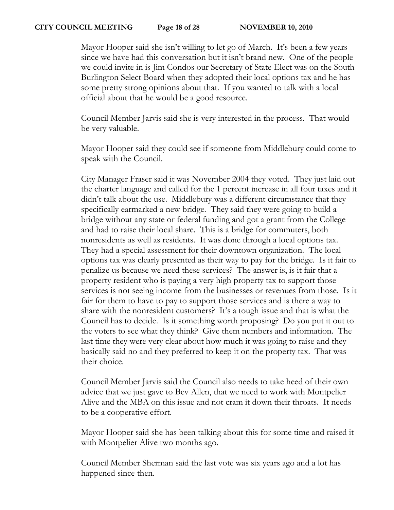Mayor Hooper said she isn't willing to let go of March. It's been a few years since we have had this conversation but it isn't brand new. One of the people we could invite in is Jim Condos our Secretary of State Elect was on the South Burlington Select Board when they adopted their local options tax and he has some pretty strong opinions about that. If you wanted to talk with a local official about that he would be a good resource.

Council Member Jarvis said she is very interested in the process. That would be very valuable.

Mayor Hooper said they could see if someone from Middlebury could come to speak with the Council.

City Manager Fraser said it was November 2004 they voted. They just laid out the charter language and called for the 1 percent increase in all four taxes and it didn't talk about the use. Middlebury was a different circumstance that they specifically earmarked a new bridge. They said they were going to build a bridge without any state or federal funding and got a grant from the College and had to raise their local share. This is a bridge for commuters, both nonresidents as well as residents. It was done through a local options tax. They had a special assessment for their downtown organization. The local options tax was clearly presented as their way to pay for the bridge. Is it fair to penalize us because we need these services? The answer is, is it fair that a property resident who is paying a very high property tax to support those services is not seeing income from the businesses or revenues from those. Is it fair for them to have to pay to support those services and is there a way to share with the nonresident customers? It's a tough issue and that is what the Council has to decide. Is it something worth proposing? Do you put it out to the voters to see what they think? Give them numbers and information. The last time they were very clear about how much it was going to raise and they basically said no and they preferred to keep it on the property tax. That was their choice.

Council Member Jarvis said the Council also needs to take heed of their own advice that we just gave to Bev Allen, that we need to work with Montpelier Alive and the MBA on this issue and not cram it down their throats. It needs to be a cooperative effort.

Mayor Hooper said she has been talking about this for some time and raised it with Montpelier Alive two months ago.

Council Member Sherman said the last vote was six years ago and a lot has happened since then.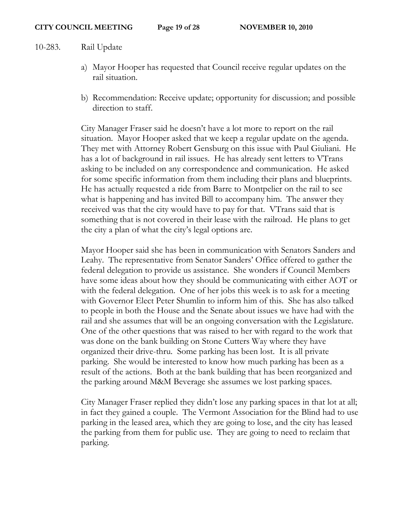- 10-283. Rail Update
	- a) Mayor Hooper has requested that Council receive regular updates on the rail situation.
	- b) Recommendation: Receive update; opportunity for discussion; and possible direction to staff.

City Manager Fraser said he doesn't have a lot more to report on the rail situation. Mayor Hooper asked that we keep a regular update on the agenda. They met with Attorney Robert Gensburg on this issue with Paul Giuliani. He has a lot of background in rail issues. He has already sent letters to VTrans asking to be included on any correspondence and communication. He asked for some specific information from them including their plans and blueprints. He has actually requested a ride from Barre to Montpelier on the rail to see what is happening and has invited Bill to accompany him. The answer they received was that the city would have to pay for that. VTrans said that is something that is not covered in their lease with the railroad. He plans to get the city a plan of what the city's legal options are.

Mayor Hooper said she has been in communication with Senators Sanders and Leahy. The representative from Senator Sanders' Office offered to gather the federal delegation to provide us assistance. She wonders if Council Members have some ideas about how they should be communicating with either AOT or with the federal delegation. One of her jobs this week is to ask for a meeting with Governor Elect Peter Shumlin to inform him of this. She has also talked to people in both the House and the Senate about issues we have had with the rail and she assumes that will be an ongoing conversation with the Legislature. One of the other questions that was raised to her with regard to the work that was done on the bank building on Stone Cutters Way where they have organized their drive-thru. Some parking has been lost. It is all private parking. She would be interested to know how much parking has been as a result of the actions. Both at the bank building that has been reorganized and the parking around M&M Beverage she assumes we lost parking spaces.

City Manager Fraser replied they didn't lose any parking spaces in that lot at all; in fact they gained a couple. The Vermont Association for the Blind had to use parking in the leased area, which they are going to lose, and the city has leased the parking from them for public use. They are going to need to reclaim that parking.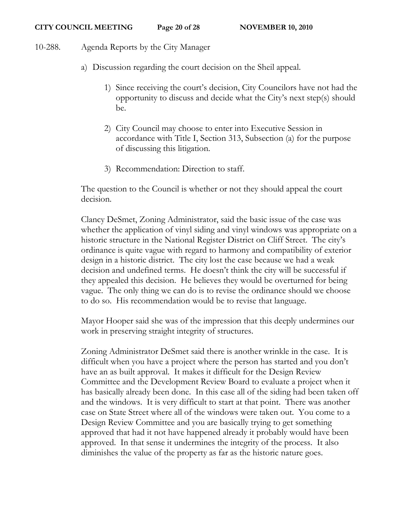#### **CITY COUNCIL MEETING Page 20 of 28 NOVEMBER 10, 2010**

# 10-288. Agenda Reports by the City Manager

- a) Discussion regarding the court decision on the Sheil appeal.
	- 1) Since receiving the court's decision, City Councilors have not had the opportunity to discuss and decide what the City's next step(s) should be.
	- 2) City Council may choose to enter into Executive Session in accordance with Title I, Section 313, Subsection (a) for the purpose of discussing this litigation.
	- 3) Recommendation: Direction to staff.

The question to the Council is whether or not they should appeal the court decision.

Clancy DeSmet, Zoning Administrator, said the basic issue of the case was whether the application of vinyl siding and vinyl windows was appropriate on a historic structure in the National Register District on Cliff Street. The city's ordinance is quite vague with regard to harmony and compatibility of exterior design in a historic district. The city lost the case because we had a weak decision and undefined terms. He doesn't think the city will be successful if they appealed this decision. He believes they would be overturned for being vague. The only thing we can do is to revise the ordinance should we choose to do so. His recommendation would be to revise that language.

Mayor Hooper said she was of the impression that this deeply undermines our work in preserving straight integrity of structures.

Zoning Administrator DeSmet said there is another wrinkle in the case. It is difficult when you have a project where the person has started and you don't have an as built approval. It makes it difficult for the Design Review Committee and the Development Review Board to evaluate a project when it has basically already been done. In this case all of the siding had been taken off and the windows. It is very difficult to start at that point. There was another case on State Street where all of the windows were taken out. You come to a Design Review Committee and you are basically trying to get something approved that had it not have happened already it probably would have been approved. In that sense it undermines the integrity of the process. It also diminishes the value of the property as far as the historic nature goes.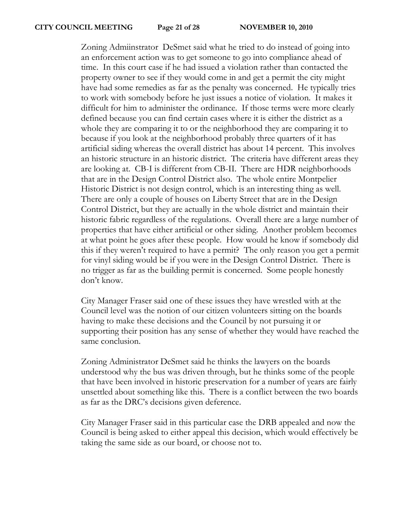Zoning Admiinstrator DeSmet said what he tried to do instead of going into an enforcement action was to get someone to go into compliance ahead of time. In this court case if he had issued a violation rather than contacted the property owner to see if they would come in and get a permit the city might have had some remedies as far as the penalty was concerned. He typically tries to work with somebody before he just issues a notice of violation. It makes it difficult for him to administer the ordinance. If those terms were more clearly defined because you can find certain cases where it is either the district as a whole they are comparing it to or the neighborhood they are comparing it to because if you look at the neighborhood probably three quarters of it has artificial siding whereas the overall district has about 14 percent. This involves an historic structure in an historic district. The criteria have different areas they are looking at. CB-I is different from CB-II. There are HDR neighborhoods that are in the Design Control District also. The whole entire Montpelier Historic District is not design control, which is an interesting thing as well. There are only a couple of houses on Liberty Street that are in the Design Control District, but they are actually in the whole district and maintain their historic fabric regardless of the regulations. Overall there are a large number of properties that have either artificial or other siding. Another problem becomes at what point he goes after these people. How would he know if somebody did this if they weren't required to have a permit? The only reason you get a permit for vinyl siding would be if you were in the Design Control District. There is no trigger as far as the building permit is concerned. Some people honestly don't know.

City Manager Fraser said one of these issues they have wrestled with at the Council level was the notion of our citizen volunteers sitting on the boards having to make these decisions and the Council by not pursuing it or supporting their position has any sense of whether they would have reached the same conclusion.

Zoning Administrator DeSmet said he thinks the lawyers on the boards understood why the bus was driven through, but he thinks some of the people that have been involved in historic preservation for a number of years are fairly unsettled about something like this. There is a conflict between the two boards as far as the DRC's decisions given deference.

City Manager Fraser said in this particular case the DRB appealed and now the Council is being asked to either appeal this decision, which would effectively be taking the same side as our board, or choose not to.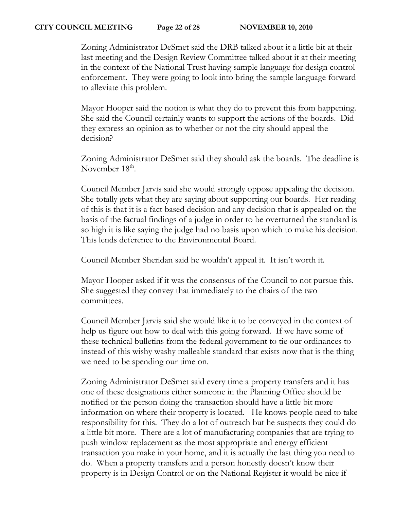## **CITY COUNCIL MEETING Page 22 of 28 NOVEMBER 10, 2010**

Zoning Administrator DeSmet said the DRB talked about it a little bit at their last meeting and the Design Review Committee talked about it at their meeting in the context of the National Trust having sample language for design control enforcement. They were going to look into bring the sample language forward to alleviate this problem.

Mayor Hooper said the notion is what they do to prevent this from happening. She said the Council certainly wants to support the actions of the boards. Did they express an opinion as to whether or not the city should appeal the decision?

Zoning Administrator DeSmet said they should ask the boards. The deadline is November 18<sup>th</sup>.

Council Member Jarvis said she would strongly oppose appealing the decision. She totally gets what they are saying about supporting our boards. Her reading of this is that it is a fact based decision and any decision that is appealed on the basis of the factual findings of a judge in order to be overturned the standard is so high it is like saying the judge had no basis upon which to make his decision. This lends deference to the Environmental Board.

Council Member Sheridan said he wouldn't appeal it. It isn't worth it.

Mayor Hooper asked if it was the consensus of the Council to not pursue this. She suggested they convey that immediately to the chairs of the two committees.

Council Member Jarvis said she would like it to be conveyed in the context of help us figure out how to deal with this going forward. If we have some of these technical bulletins from the federal government to tie our ordinances to instead of this wishy washy malleable standard that exists now that is the thing we need to be spending our time on.

Zoning Administrator DeSmet said every time a property transfers and it has one of these designations either someone in the Planning Office should be notified or the person doing the transaction should have a little bit more information on where their property is located. He knows people need to take responsibility for this. They do a lot of outreach but he suspects they could do a little bit more. There are a lot of manufacturing companies that are trying to push window replacement as the most appropriate and energy efficient transaction you make in your home, and it is actually the last thing you need to do. When a property transfers and a person honestly doesn't know their property is in Design Control or on the National Register it would be nice if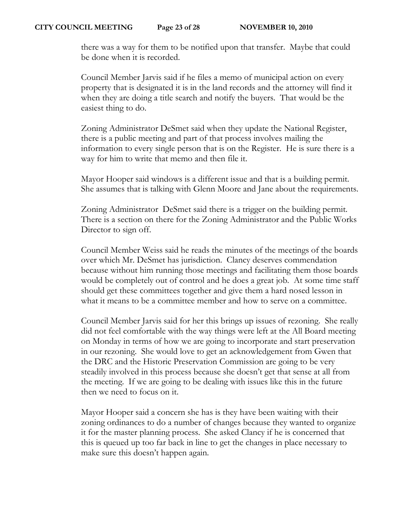there was a way for them to be notified upon that transfer. Maybe that could be done when it is recorded.

Council Member Jarvis said if he files a memo of municipal action on every property that is designated it is in the land records and the attorney will find it when they are doing a title search and notify the buyers. That would be the easiest thing to do.

Zoning Administrator DeSmet said when they update the National Register, there is a public meeting and part of that process involves mailing the information to every single person that is on the Register. He is sure there is a way for him to write that memo and then file it.

Mayor Hooper said windows is a different issue and that is a building permit. She assumes that is talking with Glenn Moore and Jane about the requirements.

Zoning Administrator DeSmet said there is a trigger on the building permit. There is a section on there for the Zoning Administrator and the Public Works Director to sign off.

Council Member Weiss said he reads the minutes of the meetings of the boards over which Mr. DeSmet has jurisdiction. Clancy deserves commendation because without him running those meetings and facilitating them those boards would be completely out of control and he does a great job. At some time staff should get these committees together and give them a hard nosed lesson in what it means to be a committee member and how to serve on a committee.

Council Member Jarvis said for her this brings up issues of rezoning. She really did not feel comfortable with the way things were left at the All Board meeting on Monday in terms of how we are going to incorporate and start preservation in our rezoning. She would love to get an acknowledgement from Gwen that the DRC and the Historic Preservation Commission are going to be very steadily involved in this process because she doesn't get that sense at all from the meeting. If we are going to be dealing with issues like this in the future then we need to focus on it.

Mayor Hooper said a concern she has is they have been waiting with their zoning ordinances to do a number of changes because they wanted to organize it for the master planning process. She asked Clancy if he is concerned that this is queued up too far back in line to get the changes in place necessary to make sure this doesn't happen again.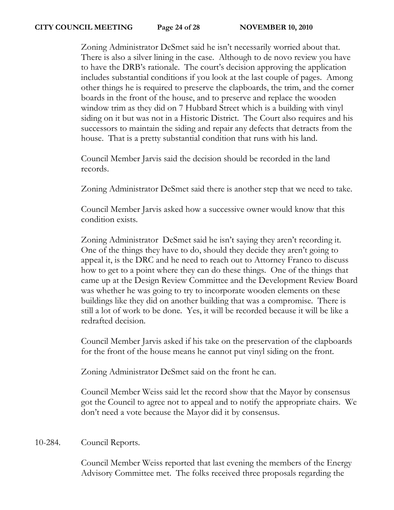Zoning Administrator DeSmet said he isn't necessarily worried about that. There is also a silver lining in the case. Although to de novo review you have to have the DRB's rationale. The court's decision approving the application includes substantial conditions if you look at the last couple of pages. Among other things he is required to preserve the clapboards, the trim, and the corner boards in the front of the house, and to preserve and replace the wooden window trim as they did on 7 Hubbard Street which is a building with vinyl siding on it but was not in a Historic District. The Court also requires and his successors to maintain the siding and repair any defects that detracts from the house. That is a pretty substantial condition that runs with his land.

Council Member Jarvis said the decision should be recorded in the land records.

Zoning Administrator DeSmet said there is another step that we need to take.

Council Member Jarvis asked how a successive owner would know that this condition exists.

Zoning Administrator DeSmet said he isn't saying they aren't recording it. One of the things they have to do, should they decide they aren't going to appeal it, is the DRC and he need to reach out to Attorney Franco to discuss how to get to a point where they can do these things. One of the things that came up at the Design Review Committee and the Development Review Board was whether he was going to try to incorporate wooden elements on these buildings like they did on another building that was a compromise. There is still a lot of work to be done. Yes, it will be recorded because it will be like a redrafted decision.

Council Member Jarvis asked if his take on the preservation of the clapboards for the front of the house means he cannot put vinyl siding on the front.

Zoning Administrator DeSmet said on the front he can.

Council Member Weiss said let the record show that the Mayor by consensus got the Council to agree not to appeal and to notify the appropriate chairs. We don't need a vote because the Mayor did it by consensus.

10-284. Council Reports.

Council Member Weiss reported that last evening the members of the Energy Advisory Committee met. The folks received three proposals regarding the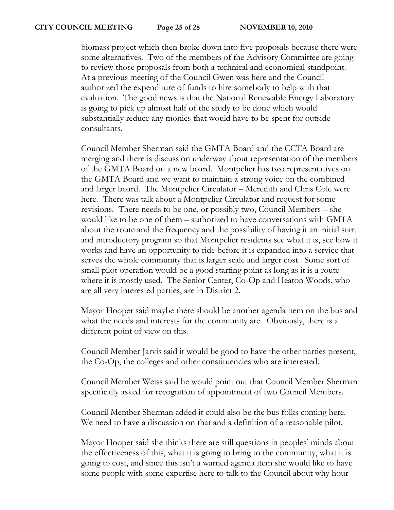biomass project which then broke down into five proposals because there were some alternatives. Two of the members of the Advisory Committee are going to review those proposals from both a technical and economical standpoint. At a previous meeting of the Council Gwen was here and the Council authorized the expenditure of funds to hire somebody to help with that evaluation. The good news is that the National Renewable Energy Laboratory is going to pick up almost half of the study to be done which would substantially reduce any monies that would have to be spent for outside consultants.

Council Member Sherman said the GMTA Board and the CCTA Board are merging and there is discussion underway about representation of the members of the GMTA Board on a new board. Montpelier has two representatives on the GMTA Board and we want to maintain a strong voice on the combined and larger board. The Montpelier Circulator – Meredith and Chris Cole were here. There was talk about a Montpelier Circulator and request for some revisions. There needs to be one, or possibly two, Council Members – she would like to be one of them – authorized to have conversations with GMTA about the route and the frequency and the possibility of having it an initial start and introductory program so that Montpelier residents see what it is, see how it works and have an opportunity to ride before it is expanded into a service that serves the whole community that is larger scale and larger cost. Some sort of small pilot operation would be a good starting point as long as it is a route where it is mostly used. The Senior Center, Co-Op and Heaton Woods, who are all very interested parties, are in District 2.

Mayor Hooper said maybe there should be another agenda item on the bus and what the needs and interests for the community are. Obviously, there is a different point of view on this.

Council Member Jarvis said it would be good to have the other parties present, the Co-Op, the colleges and other constituencies who are interested.

Council Member Weiss said he would point out that Council Member Sherman specifically asked for recognition of appointment of two Council Members.

Council Member Sherman added it could also be the bus folks coming here. We need to have a discussion on that and a definition of a reasonable pilot.

Mayor Hooper said she thinks there are still questions in peoples' minds about the effectiveness of this, what it is going to bring to the community, what it is going to cost, and since this isn't a warned agenda item she would like to have some people with some expertise here to talk to the Council about why hour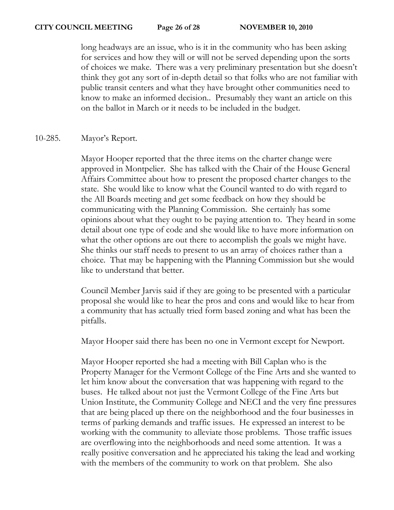long headways are an issue, who is it in the community who has been asking for services and how they will or will not be served depending upon the sorts of choices we make. There was a very preliminary presentation but she doesn't think they got any sort of in-depth detail so that folks who are not familiar with public transit centers and what they have brought other communities need to know to make an informed decision.. Presumably they want an article on this on the ballot in March or it needs to be included in the budget.

# 10-285. Mayor's Report.

Mayor Hooper reported that the three items on the charter change were approved in Montpelier. She has talked with the Chair of the House General Affairs Committee about how to present the proposed charter changes to the state. She would like to know what the Council wanted to do with regard to the All Boards meeting and get some feedback on how they should be communicating with the Planning Commission. She certainly has some opinions about what they ought to be paying attention to. They heard in some detail about one type of code and she would like to have more information on what the other options are out there to accomplish the goals we might have. She thinks our staff needs to present to us an array of choices rather than a choice. That may be happening with the Planning Commission but she would like to understand that better.

Council Member Jarvis said if they are going to be presented with a particular proposal she would like to hear the pros and cons and would like to hear from a community that has actually tried form based zoning and what has been the pitfalls.

Mayor Hooper said there has been no one in Vermont except for Newport.

Mayor Hooper reported she had a meeting with Bill Caplan who is the Property Manager for the Vermont College of the Fine Arts and she wanted to let him know about the conversation that was happening with regard to the buses. He talked about not just the Vermont College of the Fine Arts but Union Institute, the Community College and NECI and the very fine pressures that are being placed up there on the neighborhood and the four businesses in terms of parking demands and traffic issues. He expressed an interest to be working with the community to alleviate those problems. Those traffic issues are overflowing into the neighborhoods and need some attention. It was a really positive conversation and he appreciated his taking the lead and working with the members of the community to work on that problem. She also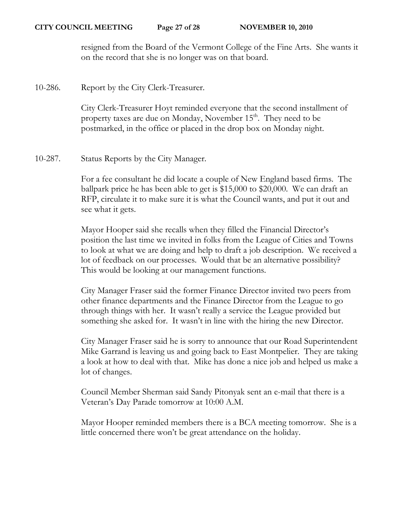resigned from the Board of the Vermont College of the Fine Arts. She wants it on the record that she is no longer was on that board.

10-286. Report by the City Clerk-Treasurer.

City Clerk-Treasurer Hoyt reminded everyone that the second installment of property taxes are due on Monday, November 15<sup>th</sup>. They need to be postmarked, in the office or placed in the drop box on Monday night.

10-287. Status Reports by the City Manager.

For a fee consultant he did locate a couple of New England based firms. The ballpark price he has been able to get is \$15,000 to \$20,000. We can draft an RFP, circulate it to make sure it is what the Council wants, and put it out and see what it gets.

Mayor Hooper said she recalls when they filled the Financial Director's position the last time we invited in folks from the League of Cities and Towns to look at what we are doing and help to draft a job description. We received a lot of feedback on our processes. Would that be an alternative possibility? This would be looking at our management functions.

City Manager Fraser said the former Finance Director invited two peers from other finance departments and the Finance Director from the League to go through things with her. It wasn't really a service the League provided but something she asked for. It wasn't in line with the hiring the new Director.

City Manager Fraser said he is sorry to announce that our Road Superintendent Mike Garrand is leaving us and going back to East Montpelier. They are taking a look at how to deal with that. Mike has done a nice job and helped us make a lot of changes.

Council Member Sherman said Sandy Pitonyak sent an e-mail that there is a Veteran's Day Parade tomorrow at 10:00 A.M.

Mayor Hooper reminded members there is a BCA meeting tomorrow. She is a little concerned there won't be great attendance on the holiday.